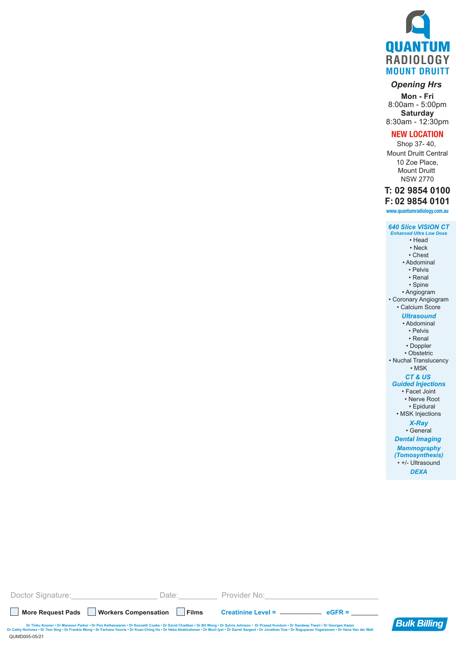

### *Opening Hrs*

**Mon - Fri** 8:00am - 5:00pm **Saturday** 8:30am - 12:30pm

#### **NEW LOCATION**

Shop 37- 40, Mount Druitt Central 10 Zoe Place, Mount Druitt NSW 2770

## **T: 02 9854 0100**

**www.quantumradiology.com.au F: 02 9854 0101**

# *640 Slice VISION CT*

*Enhanced Ultra Low Dose* • Head • Neck • Chest • Abdominal • Pelvis • Renal • Spine • Angiogram • Coronary Angiogram • Calcium Score *Ultrasound* • Abdominal • Pelvis • Renal • Doppler • Obstetric • Nuchal Translucency • MSK *CT & US Guided Injections* • Facet Joint • Nerve Root • Epidural • MSK Injections *X-Ray* • General *Dental Imaging Mammography (Tomosynthesis)* • +/- Ultrasound *DEXA*

| Doctor Signature:                                                                                                                                                                                                                                                                                                                                                                                                   | Date:   | Provider No:                              |  |  |  |  |
|---------------------------------------------------------------------------------------------------------------------------------------------------------------------------------------------------------------------------------------------------------------------------------------------------------------------------------------------------------------------------------------------------------------------|---------|-------------------------------------------|--|--|--|--|
| More Request Pads   Workers Compensation                                                                                                                                                                                                                                                                                                                                                                            | ∣ Films | Creatinine Level = __________<br>$AGFR =$ |  |  |  |  |
| Dr Tinku Kooner • Dr Mansoor Parker • Dr Pon Ketheswaran • Dr Kenneth Cooke • Dr David Chadban • Dr Bit Wong • Dr Sylvia Johnson • Dr Prasad Kundum • Dr Sandeep Tiwari • Dr Georges Hazan<br>Dr Cathy Nicholas . Dr Tom Sing . Dr Frankie Wong . Dr Farhana Younis . Dr Kuan-Ching Ho . Dr Heba Abdelrahman . Dr Murli Iyer . Dr Darrel Sargent . Dr Jonathan Tow . Dr Raguparan Yogaratnam . Dr Hans Van der Wall |         |                                           |  |  |  |  |

QUMD005-05/21